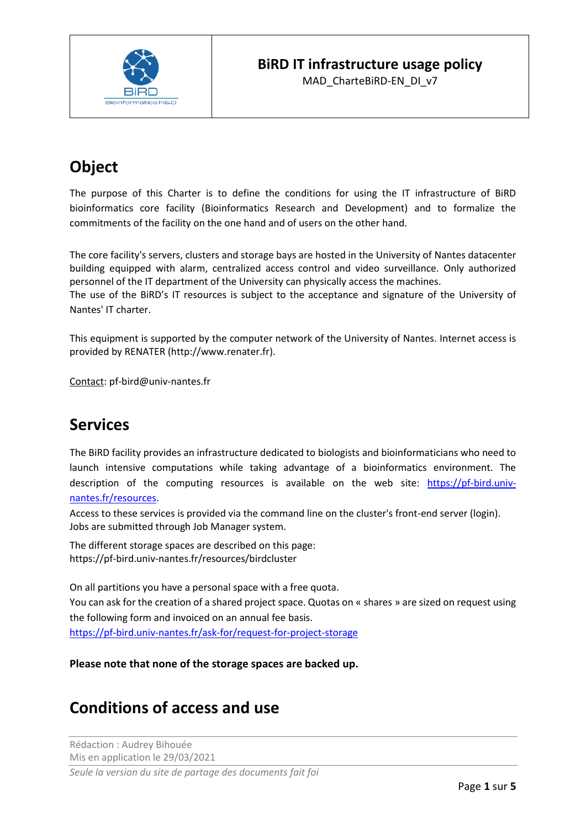

MAD\_CharteBiRD-EN\_DI\_v7

# **Object**

The purpose of this Charter is to define the conditions for using the IT infrastructure of BiRD bioinformatics core facility (Bioinformatics Research and Development) and to formalize the commitments of the facility on the one hand and of users on the other hand.

The core facility's servers, clusters and storage bays are hosted in the University of Nantes datacenter building equipped with alarm, centralized access control and video surveillance. Only authorized personnel of the IT department of the University can physically access the machines.

The use of the BiRD's IT resources is subject to the acceptance and signature of the University of Nantes' IT charter.

This equipment is supported by the computer network of the University of Nantes. Internet access is provided by RENATER (http://www.renater.fr).

Contact: pf-bird@univ-nantes.fr

### **Services**

The BiRD facility provides an infrastructure dedicated to biologists and bioinformaticians who need to launch intensive computations while taking advantage of a bioinformatics environment. The description of the computing resources is available on the web site: [https://pf-bird.univ](https://pf-bird.univ-nantes.fr/resources)[nantes.fr/resources.](https://pf-bird.univ-nantes.fr/resources)

Access to these services is provided via the command line on the cluster's front-end server (login). Jobs are submitted through Job Manager system.

The different storage spaces are described on this page: https://pf-bird.univ-nantes.fr/resources/birdcluster

On all partitions you have a personal space with a free quota. You can ask for the creation of a shared project space. Quotas on « shares » are sized on request using the following form and invoiced on an annual fee basis.

<https://pf-bird.univ-nantes.fr/ask-for/request-for-project-storage>

**Please note that none of the storage spaces are backed up.**

### **Conditions of access and use**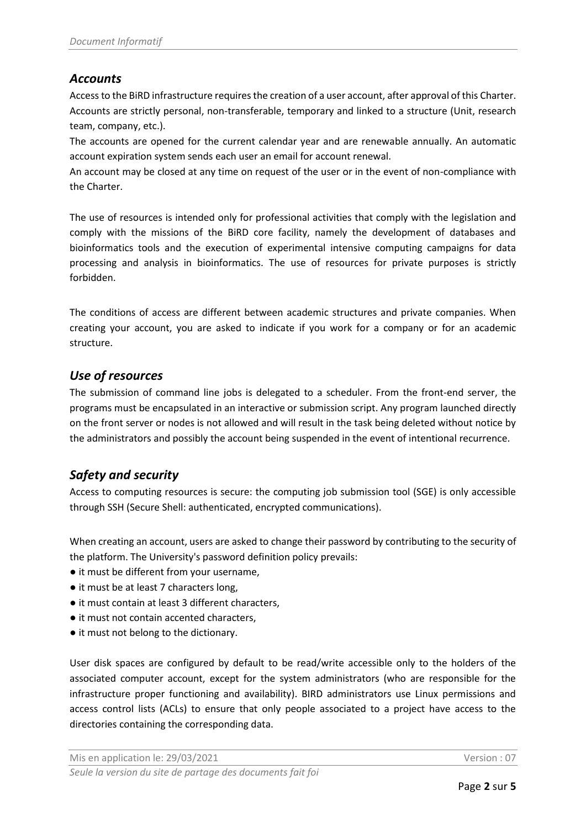#### *Accounts*

Access to the BiRD infrastructure requires the creation of a user account, after approval of this Charter. Accounts are strictly personal, non-transferable, temporary and linked to a structure (Unit, research team, company, etc.).

The accounts are opened for the current calendar year and are renewable annually. An automatic account expiration system sends each user an email for account renewal.

An account may be closed at any time on request of the user or in the event of non-compliance with the Charter.

The use of resources is intended only for professional activities that comply with the legislation and comply with the missions of the BiRD core facility, namely the development of databases and bioinformatics tools and the execution of experimental intensive computing campaigns for data processing and analysis in bioinformatics. The use of resources for private purposes is strictly forbidden.

The conditions of access are different between academic structures and private companies. When creating your account, you are asked to indicate if you work for a company or for an academic structure.

#### *Use of resources*

The submission of command line jobs is delegated to a scheduler. From the front-end server, the programs must be encapsulated in an interactive or submission script. Any program launched directly on the front server or nodes is not allowed and will result in the task being deleted without notice by the administrators and possibly the account being suspended in the event of intentional recurrence.

#### *Safety and security*

Access to computing resources is secure: the computing job submission tool (SGE) is only accessible through SSH (Secure Shell: authenticated, encrypted communications).

When creating an account, users are asked to change their password by contributing to the security of the platform. The University's password definition policy prevails:

- it must be different from your username,
- it must be at least 7 characters long.
- it must contain at least 3 different characters,
- it must not contain accented characters,
- it must not belong to the dictionary.

User disk spaces are configured by default to be read/write accessible only to the holders of the associated computer account, except for the system administrators (who are responsible for the infrastructure proper functioning and availability). BIRD administrators use Linux permissions and access control lists (ACLs) to ensure that only people associated to a project have access to the directories containing the corresponding data.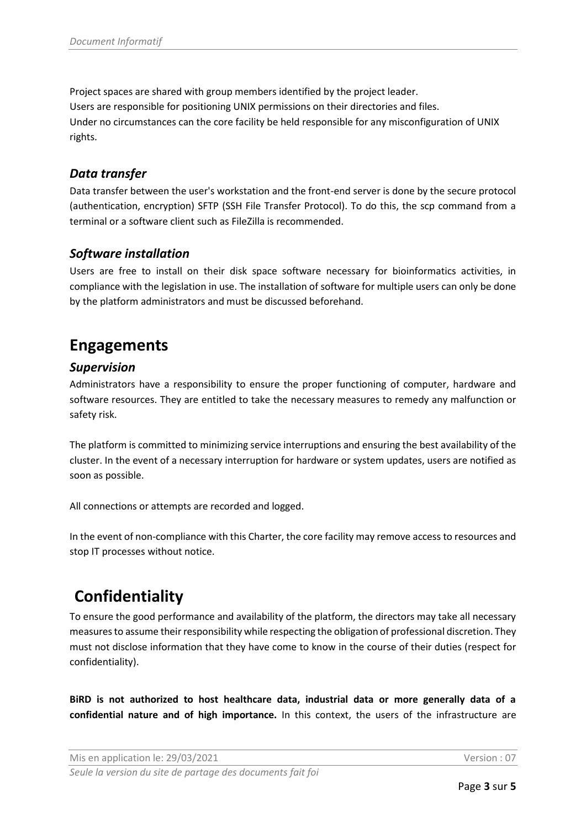Project spaces are shared with group members identified by the project leader. Users are responsible for positioning UNIX permissions on their directories and files. Under no circumstances can the core facility be held responsible for any misconfiguration of UNIX rights.

#### *Data transfer*

Data transfer between the user's workstation and the front-end server is done by the secure protocol (authentication, encryption) SFTP (SSH File Transfer Protocol). To do this, the scp command from a terminal or a software client such as FileZilla is recommended.

#### *Software installation*

Users are free to install on their disk space software necessary for bioinformatics activities, in compliance with the legislation in use. The installation of software for multiple users can only be done by the platform administrators and must be discussed beforehand.

### **Engagements**

#### *Supervision*

Administrators have a responsibility to ensure the proper functioning of computer, hardware and software resources. They are entitled to take the necessary measures to remedy any malfunction or safety risk.

The platform is committed to minimizing service interruptions and ensuring the best availability of the cluster. In the event of a necessary interruption for hardware or system updates, users are notified as soon as possible.

All connections or attempts are recorded and logged.

In the event of non-compliance with this Charter, the core facility may remove access to resources and stop IT processes without notice.

## **Confidentiality**

To ensure the good performance and availability of the platform, the directors may take all necessary measures to assume their responsibility while respecting the obligation of professional discretion. They must not disclose information that they have come to know in the course of their duties (respect for confidentiality).

**BiRD is not authorized to host healthcare data, industrial data or more generally data of a confidential nature and of high importance.** In this context, the users of the infrastructure are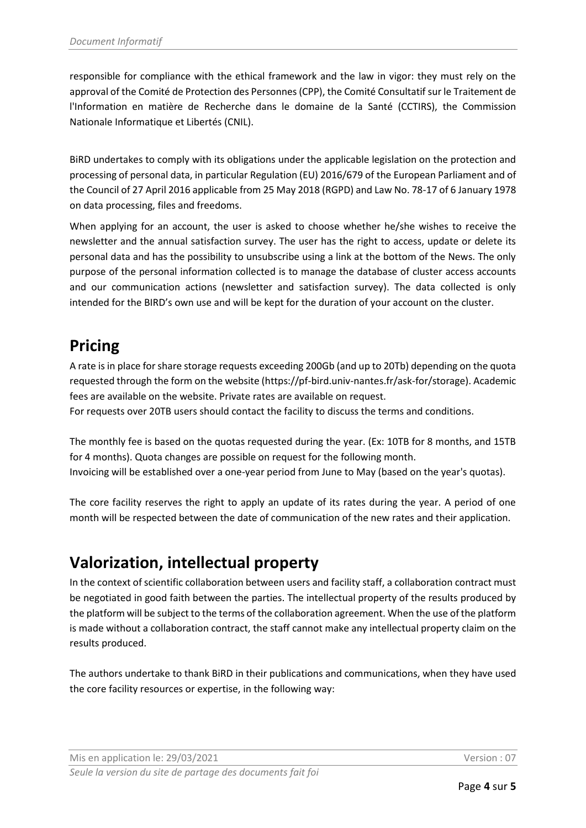responsible for compliance with the ethical framework and the law in vigor: they must rely on the approval of the Comité de Protection des Personnes (CPP), the Comité Consultatif sur le Traitement de l'Information en matière de Recherche dans le domaine de la Santé (CCTIRS), the Commission Nationale Informatique et Libertés (CNIL).

BiRD undertakes to comply with its obligations under the applicable legislation on the protection and processing of personal data, in particular Regulation (EU) 2016/679 of the European Parliament and of the Council of 27 April 2016 applicable from 25 May 2018 (RGPD) and Law No. 78-17 of 6 January 1978 on data processing, files and freedoms.

When applying for an account, the user is asked to choose whether he/she wishes to receive the newsletter and the annual satisfaction survey. The user has the right to access, update or delete its personal data and has the possibility to unsubscribe using a link at the bottom of the News. The only purpose of the personal information collected is to manage the database of cluster access accounts and our communication actions (newsletter and satisfaction survey). The data collected is only intended for the BIRD's own use and will be kept for the duration of your account on the cluster.

## **Pricing**

A rate is in place for share storage requests exceeding 200Gb (and up to 20Tb) depending on the quota requested through the form on the website (https://pf-bird.univ-nantes.fr/ask-for/storage). Academic fees are available on the website. Private rates are available on request.

For requests over 20TB users should contact the facility to discuss the terms and conditions.

The monthly fee is based on the quotas requested during the year. (Ex: 10TB for 8 months, and 15TB for 4 months). Quota changes are possible on request for the following month. Invoicing will be established over a one-year period from June to May (based on the year's quotas).

The core facility reserves the right to apply an update of its rates during the year. A period of one month will be respected between the date of communication of the new rates and their application.

## **Valorization, intellectual property**

In the context of scientific collaboration between users and facility staff, a collaboration contract must be negotiated in good faith between the parties. The intellectual property of the results produced by the platform will be subject to the terms of the collaboration agreement. When the use of the platform is made without a collaboration contract, the staff cannot make any intellectual property claim on the results produced.

The authors undertake to thank BiRD in their publications and communications, when they have used the core facility resources or expertise, in the following way: